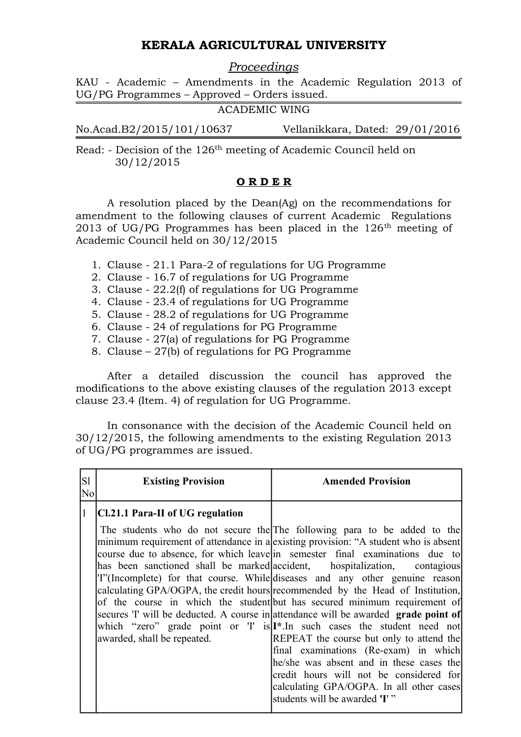# **KERALA AGRICULTURAL UNIVERSITY**

*Proceedings*

KAU - Academic – Amendments in the Academic Regulation 2013 of UG/PG Programmes – Approved – Orders issued.

ACADEMIC WING

No.Acad.B2/2015/101/10637 Vellanikkara, Dated: 29/01/2016

Read: - Decision of the 126th meeting of Academic Council held on 30/12/2015

### **O R D E R**

A resolution placed by the Dean(Ag) on the recommendations for amendment to the following clauses of current Academic Regulations 2013 of UG/PG Programmes has been placed in the  $126<sup>th</sup>$  meeting of Academic Council held on 30/12/2015

- 1. Clause 21.1 Para-2 of regulations for UG Programme
- 2. Clause 16.7 of regulations for UG Programme
- 3. Clause 22.2(f) of regulations for UG Programme
- 4. Clause 23.4 of regulations for UG Programme
- 5. Clause 28.2 of regulations for UG Programme
- 6. Clause 24 of regulations for PG Programme
- 7. Clause 27(a) of regulations for PG Programme
- 8. Clause 27(b) of regulations for PG Programme

After a detailed discussion the council has approved the modifications to the above existing clauses of the regulation 2013 except clause 23.4 (Item. 4) of regulation for UG Programme.

In consonance with the decision of the Academic Council held on 30/12/2015, the following amendments to the existing Regulation 2013 of UG/PG programmes are issued.

| S1<br>$\rm No$ | <b>Existing Provision</b>        | <b>Amended Provision</b>                                                                                                                                                                                                                                                                                                                                                                                                                                                                                                                                                                                                                                                                                                                                                                                                                                                                                                                                                                                               |
|----------------|----------------------------------|------------------------------------------------------------------------------------------------------------------------------------------------------------------------------------------------------------------------------------------------------------------------------------------------------------------------------------------------------------------------------------------------------------------------------------------------------------------------------------------------------------------------------------------------------------------------------------------------------------------------------------------------------------------------------------------------------------------------------------------------------------------------------------------------------------------------------------------------------------------------------------------------------------------------------------------------------------------------------------------------------------------------|
|                | Cl.21.1 Para-II of UG regulation |                                                                                                                                                                                                                                                                                                                                                                                                                                                                                                                                                                                                                                                                                                                                                                                                                                                                                                                                                                                                                        |
|                | awarded, shall be repeated.      | The students who do not secure the The following para to be added to the<br>minimum requirement of attendance in a existing provision: "A student who is absent<br>course due to absence, for which leavel in semester final examinations due to<br>has been sanctioned shall be marked accident, hospitalization, contagious<br>T" (Incomplete) for that course. While diseases and any other genuine reason<br>calculating GPA/OGPA, the credit hours recommended by the Head of Institution,<br>of the course in which the student but has secured minimum requirement of<br>secures 'I' will be deducted. A course in attendance will be awarded grade point of<br>which "zero" grade point or 'I' is I <sup>*</sup> . In such cases the student need not<br>REPEAT the course but only to attend the<br>final examinations (Re-exam) in which<br>he/she was absent and in these cases the<br>credit hours will not be considered for<br>calculating GPA/OGPA. In all other cases<br>students will be awarded 'I'" |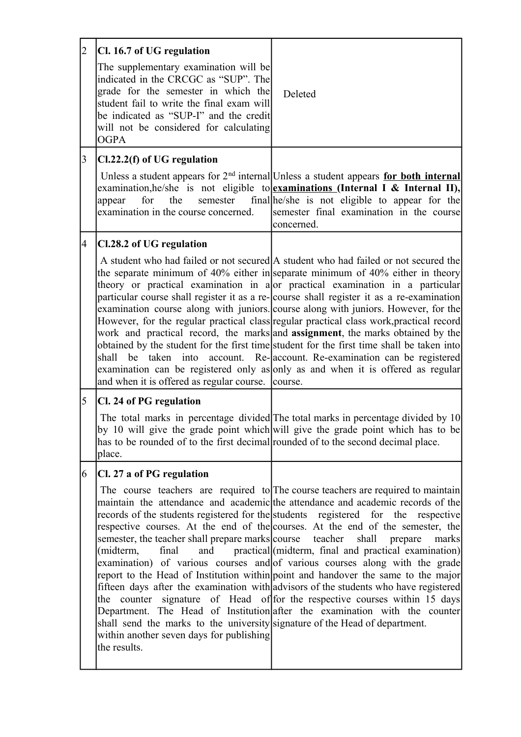| 2               | Cl. 16.7 of UG regulation                                                                                                                                                                                                                                            |                                                                                                                                                                                                                                                                                                                                                                                                                                                                                                                                                                                                                                                                                                                                                                                                                                                                        |
|-----------------|----------------------------------------------------------------------------------------------------------------------------------------------------------------------------------------------------------------------------------------------------------------------|------------------------------------------------------------------------------------------------------------------------------------------------------------------------------------------------------------------------------------------------------------------------------------------------------------------------------------------------------------------------------------------------------------------------------------------------------------------------------------------------------------------------------------------------------------------------------------------------------------------------------------------------------------------------------------------------------------------------------------------------------------------------------------------------------------------------------------------------------------------------|
|                 | The supplementary examination will be<br>indicated in the CRCGC as "SUP". The<br>grade for the semester in which the<br>student fail to write the final exam will<br>be indicated as "SUP-I" and the credit<br>will not be considered for calculating<br><b>OGPA</b> | Deleted                                                                                                                                                                                                                                                                                                                                                                                                                                                                                                                                                                                                                                                                                                                                                                                                                                                                |
| $\vert 3 \vert$ | Cl.22.2(f) of UG regulation                                                                                                                                                                                                                                          |                                                                                                                                                                                                                                                                                                                                                                                                                                                                                                                                                                                                                                                                                                                                                                                                                                                                        |
|                 | for<br>semester<br>appear<br>the<br>examination in the course concerned.                                                                                                                                                                                             | Unless a student appears for $2nd$ internal Unless a student appears for both internal<br>examination, he/she is not eligible to examinations (Internal I & Internal II),<br>final he/she is not eligible to appear for the<br>semester final examination in the course<br>concerned.                                                                                                                                                                                                                                                                                                                                                                                                                                                                                                                                                                                  |
| 4               | Cl.28.2 of UG regulation                                                                                                                                                                                                                                             |                                                                                                                                                                                                                                                                                                                                                                                                                                                                                                                                                                                                                                                                                                                                                                                                                                                                        |
|                 | shall be taken into<br>and when it is offered as regular course. course.                                                                                                                                                                                             | A student who had failed or not secured A student who had failed or not secured the<br>the separate minimum of 40% either in separate minimum of 40% either in theory<br>theory or practical examination in a or practical examination in a particular<br>particular course shall register it as a re-course shall register it as a re-examination<br>examination course along with juniors. course along with juniors. However, for the<br>However, for the regular practical class regular practical class work, practical record<br>work and practical record, the marks and <b>assignment</b> , the marks obtained by the<br>obtained by the student for the first time student for the first time shall be taken into<br>account. Re-account. Re-examination can be registered<br>examination can be registered only as only as and when it is offered as regular |
| $\overline{5}$  | Cl. 24 of PG regulation                                                                                                                                                                                                                                              |                                                                                                                                                                                                                                                                                                                                                                                                                                                                                                                                                                                                                                                                                                                                                                                                                                                                        |
|                 | has to be rounded of to the first decimal rounded of to the second decimal place.<br>place.                                                                                                                                                                          | The total marks in percentage divided The total marks in percentage divided by 10<br>by 10 will give the grade point which will give the grade point which has to be                                                                                                                                                                                                                                                                                                                                                                                                                                                                                                                                                                                                                                                                                                   |
| 6               | Cl. 27 a of PG regulation                                                                                                                                                                                                                                            |                                                                                                                                                                                                                                                                                                                                                                                                                                                                                                                                                                                                                                                                                                                                                                                                                                                                        |
|                 | semester, the teacher shall prepare marks course teacher shall prepare<br>(midterm,<br>final<br>shall send the marks to the university signature of the Head of department.<br>within another seven days for publishing<br>the results.                              | The course teachers are required to The course teachers are required to maintain<br>maintain the attendance and academic the attendance and academic records of the<br>records of the students registered for the students registered for the respective<br>respective courses. At the end of the courses. At the end of the semester, the<br>marks<br>and practical (midterm, final and practical examination)<br>examination) of various courses and of various courses along with the grade<br>report to the Head of Institution within point and handover the same to the major<br>fifteen days after the examination with advisors of the students who have registered<br>the counter signature of Head of for the respective courses within 15 days<br>Department. The Head of Institution after the examination with the counter                                |